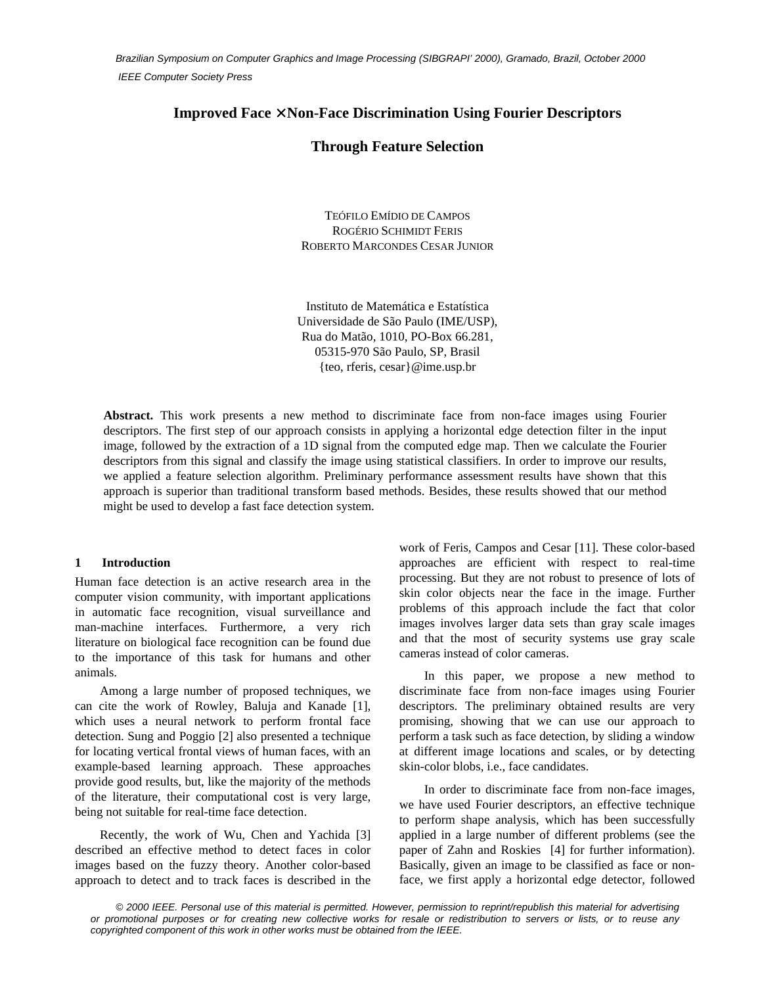# **Improved Face** × **Non-Face Discrimination Using Fourier Descriptors**

# **Through Feature Selection**

TEÓFILO EMÍDIO DE CAMPOS ROGÉRIO SCHIMIDT FERIS ROBERTO MARCONDES CESAR JUNIOR

Instituto de Matemática e Estatística Universidade de São Paulo (IME/USP), Rua do Matão, 1010, PO-Box 66.281, 05315-970 São Paulo, SP, Brasil {teo, rferis, cesar}@ime.usp.br

**Abstract.** This work presents a new method to discriminate face from non-face images using Fourier descriptors. The first step of our approach consists in applying a horizontal edge detection filter in the input image, followed by the extraction of a 1D signal from the computed edge map. Then we calculate the Fourier descriptors from this signal and classify the image using statistical classifiers. In order to improve our results, we applied a feature selection algorithm. Preliminary performance assessment results have shown that this approach is superior than traditional transform based methods. Besides, these results showed that our method might be used to develop a fast face detection system.

# **1 Introduction**

Human face detection is an active research area in the computer vision community, with important applications in automatic face recognition, visual surveillance and man-machine interfaces. Furthermore, a very rich literature on biological face recognition can be found due to the importance of this task for humans and other animals.

Among a large number of proposed techniques, we can cite the work of Rowley, Baluja and Kanade [1], which uses a neural network to perform frontal face detection. Sung and Poggio [2] also presented a technique for locating vertical frontal views of human faces, with an example-based learning approach. These approaches provide good results, but, like the majority of the methods of the literature, their computational cost is very large, being not suitable for real-time face detection.

Recently, the work of Wu, Chen and Yachida [3] described an effective method to detect faces in color images based on the fuzzy theory. Another color-based approach to detect and to track faces is described in the work of Feris, Campos and Cesar [11]. These color-based approaches are efficient with respect to real-time processing. But they are not robust to presence of lots of skin color objects near the face in the image. Further problems of this approach include the fact that color images involves larger data sets than gray scale images and that the most of security systems use gray scale cameras instead of color cameras.

In this paper, we propose a new method to discriminate face from non-face images using Fourier descriptors. The preliminary obtained results are very promising, showing that we can use our approach to perform a task such as face detection, by sliding a window at different image locations and scales, or by detecting skin-color blobs, i.e., face candidates.

In order to discriminate face from non-face images, we have used Fourier descriptors, an effective technique to perform shape analysis, which has been successfully applied in a large number of different problems (see the paper of Zahn and Roskies [4] for further information). Basically, given an image to be classified as face or nonface, we first apply a horizontal edge detector, followed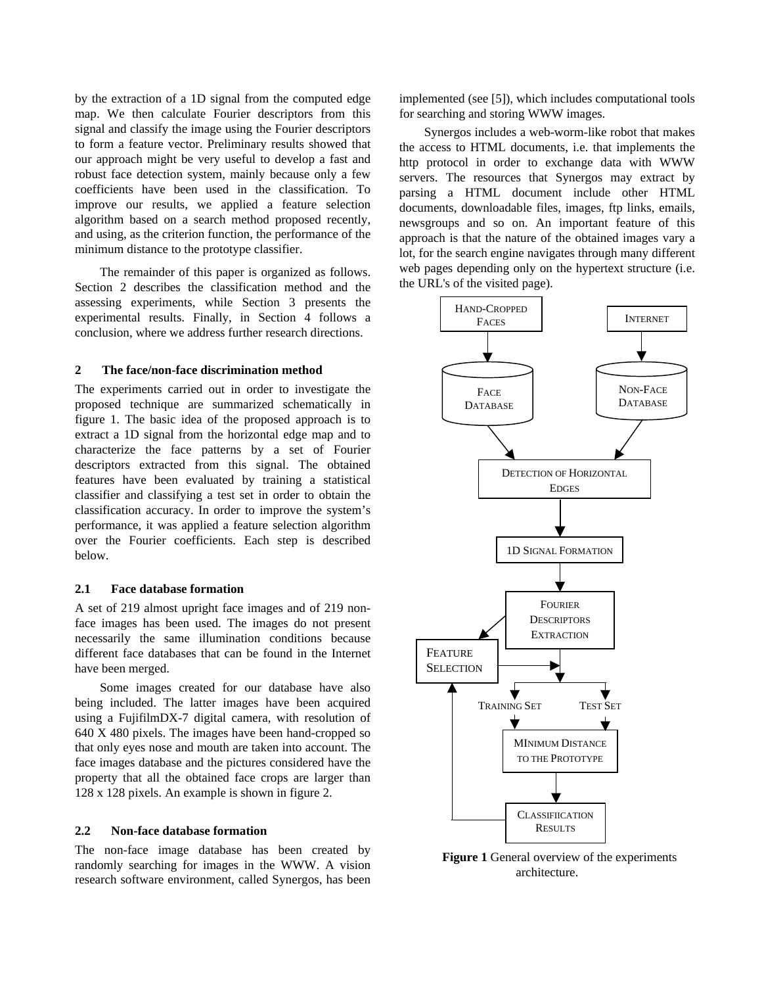by the extraction of a 1D signal from the computed edge map. We then calculate Fourier descriptors from this signal and classify the image using the Fourier descriptors to form a feature vector. Preliminary results showed that our approach might be very useful to develop a fast and robust face detection system, mainly because only a few coefficients have been used in the classification. To improve our results, we applied a feature selection algorithm based on a search method proposed recently, and using, as the criterion function, the performance of the minimum distance to the prototype classifier.

The remainder of this paper is organized as follows. Section 2 describes the classification method and the assessing experiments, while Section 3 presents the experimental results. Finally, in Section 4 follows a conclusion, where we address further research directions.

# **2 The face/non-face discrimination method**

The experiments carried out in order to investigate the proposed technique are summarized schematically in figure 1. The basic idea of the proposed approach is to extract a 1D signal from the horizontal edge map and to characterize the face patterns by a set of Fourier descriptors extracted from this signal. The obtained features have been evaluated by training a statistical classifier and classifying a test set in order to obtain the classification accuracy. In order to improve the system's performance, it was applied a feature selection algorithm over the Fourier coefficients. Each step is described below.

# **2.1 Face database formation**

A set of 219 almost upright face images and of 219 nonface images has been used. The images do not present necessarily the same illumination conditions because different face databases that can be found in the Internet have been merged.

Some images created for our database have also being included. The latter images have been acquired using a FujifilmDX-7 digital camera, with resolution of 640 X 480 pixels. The images have been hand-cropped so that only eyes nose and mouth are taken into account. The face images database and the pictures considered have the property that all the obtained face crops are larger than 128 x 128 pixels. An example is shown in figure 2.

### **2.2 Non-face database formation**

The non-face image database has been created by randomly searching for images in the WWW. A vision research software environment, called Synergos, has been

implemented (see [5]), which includes computational tools for searching and storing WWW images.

Synergos includes a web-worm-like robot that makes the access to HTML documents, i.e. that implements the http protocol in order to exchange data with WWW servers. The resources that Synergos may extract by parsing a HTML document include other HTML documents, downloadable files, images, ftp links, emails, newsgroups and so on. An important feature of this approach is that the nature of the obtained images vary a lot, for the search engine navigates through many different web pages depending only on the hypertext structure (i.e. the URL's of the visited page).



**Figure 1** General overview of the experiments architecture.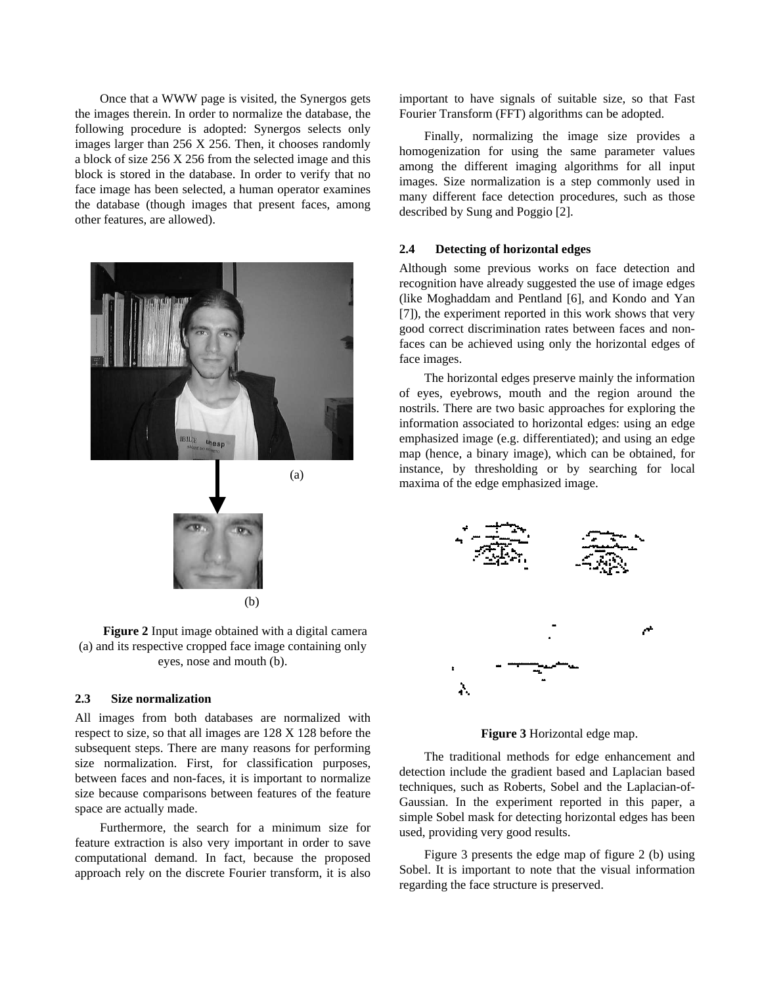Once that a WWW page is visited, the Synergos gets the images therein. In order to normalize the database, the following procedure is adopted: Synergos selects only images larger than 256 X 256. Then, it chooses randomly a block of size 256 X 256 from the selected image and this block is stored in the database. In order to verify that no face image has been selected, a human operator examines the database (though images that present faces, among other features, are allowed).





**Figure 2** Input image obtained with a digital camera (a) and its respective cropped face image containing only eyes, nose and mouth (b).

# **2.3 Size normalization**

All images from both databases are normalized with respect to size, so that all images are 128 X 128 before the subsequent steps. There are many reasons for performing size normalization. First, for classification purposes, between faces and non-faces, it is important to normalize size because comparisons between features of the feature space are actually made.

Furthermore, the search for a minimum size for feature extraction is also very important in order to save computational demand. In fact, because the proposed approach rely on the discrete Fourier transform, it is also important to have signals of suitable size, so that Fast Fourier Transform (FFT) algorithms can be adopted.

Finally, normalizing the image size provides a homogenization for using the same parameter values among the different imaging algorithms for all input images. Size normalization is a step commonly used in many different face detection procedures, such as those described by Sung and Poggio [2].

### **2.4 Detecting of horizontal edges**

Although some previous works on face detection and recognition have already suggested the use of image edges (like Moghaddam and Pentland [6], and Kondo and Yan [7]), the experiment reported in this work shows that very good correct discrimination rates between faces and nonfaces can be achieved using only the horizontal edges of face images.

The horizontal edges preserve mainly the information of eyes, eyebrows, mouth and the region around the nostrils. There are two basic approaches for exploring the information associated to horizontal edges: using an edge emphasized image (e.g. differentiated); and using an edge map (hence, a binary image), which can be obtained, for instance, by thresholding or by searching for local maxima of the edge emphasized image.



**Figure 3** Horizontal edge map.

The traditional methods for edge enhancement and detection include the gradient based and Laplacian based techniques, such as Roberts, Sobel and the Laplacian-of-Gaussian. In the experiment reported in this paper, a simple Sobel mask for detecting horizontal edges has been used, providing very good results.

Figure 3 presents the edge map of figure 2 (b) using Sobel. It is important to note that the visual information regarding the face structure is preserved.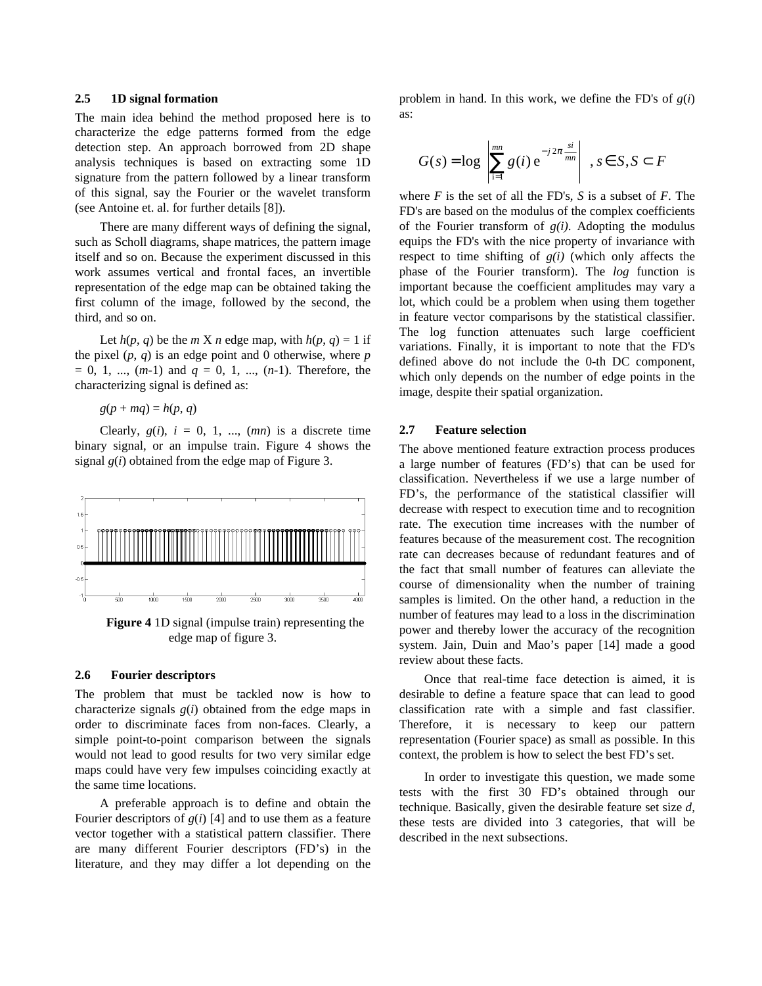#### **2.5 1D signal formation**

The main idea behind the method proposed here is to characterize the edge patterns formed from the edge detection step. An approach borrowed from 2D shape analysis techniques is based on extracting some 1D signature from the pattern followed by a linear transform of this signal, say the Fourier or the wavelet transform (see Antoine et. al. for further details [8]).

There are many different ways of defining the signal, such as Scholl diagrams, shape matrices, the pattern image itself and so on. Because the experiment discussed in this work assumes vertical and frontal faces, an invertible representation of the edge map can be obtained taking the first column of the image, followed by the second, the third, and so on.

Let  $h(p, q)$  be the *m* X *n* edge map, with  $h(p, q) = 1$  if the pixel  $(p, q)$  is an edge point and 0 otherwise, where  $p$  $= 0, 1, ..., (m-1)$  and  $q = 0, 1, ..., (n-1)$ . Therefore, the characterizing signal is defined as:

 $g(p + mq) = h(p, q)$ 

Clearly,  $g(i)$ ,  $i = 0, 1, ..., (mn)$  is a discrete time binary signal, or an impulse train. Figure 4 shows the signal  $g(i)$  obtained from the edge map of Figure 3.



**Figure 4** 1D signal (impulse train) representing the edge map of figure 3.

#### **2.6 Fourier descriptors**

The problem that must be tackled now is how to characterize signals  $g(i)$  obtained from the edge maps in order to discriminate faces from non-faces. Clearly, a simple point-to-point comparison between the signals would not lead to good results for two very similar edge maps could have very few impulses coinciding exactly at the same time locations.

A preferable approach is to define and obtain the Fourier descriptors of *g*(*i*) [4] and to use them as a feature vector together with a statistical pattern classifier. There are many different Fourier descriptors (FD's) in the literature, and they may differ a lot depending on the problem in hand. In this work, we define the FD's of  $g(i)$ as:

$$
G(s) = \log \left( \left| \sum_{i=1}^{mn} g(i) e^{-j2\pi \frac{s i}{mn}} \right| \right), s \in S, S \subset F
$$

where *F* is the set of all the FD's, *S* is a subset of *F*. The FD's are based on the modulus of the complex coefficients of the Fourier transform of *g(i)*. Adopting the modulus equips the FD's with the nice property of invariance with respect to time shifting of *g(i)* (which only affects the phase of the Fourier transform). The *log* function is important because the coefficient amplitudes may vary a lot, which could be a problem when using them together in feature vector comparisons by the statistical classifier. The log function attenuates such large coefficient variations. Finally, it is important to note that the FD's defined above do not include the 0-th DC component, which only depends on the number of edge points in the image, despite their spatial organization.

#### **2.7 Feature selection**

The above mentioned feature extraction process produces a large number of features (FD's) that can be used for classification. Nevertheless if we use a large number of FD's, the performance of the statistical classifier will decrease with respect to execution time and to recognition rate. The execution time increases with the number of features because of the measurement cost. The recognition rate can decreases because of redundant features and of the fact that small number of features can alleviate the course of dimensionality when the number of training samples is limited. On the other hand, a reduction in the number of features may lead to a loss in the discrimination power and thereby lower the accuracy of the recognition system. Jain, Duin and Mao's paper [14] made a good review about these facts.

Once that real-time face detection is aimed, it is desirable to define a feature space that can lead to good classification rate with a simple and fast classifier. Therefore, it is necessary to keep our pattern representation (Fourier space) as small as possible. In this context, the problem is how to select the best FD's set.

In order to investigate this question, we made some tests with the first 30 FD's obtained through our technique. Basically, given the desirable feature set size *d*, these tests are divided into 3 categories, that will be described in the next subsections.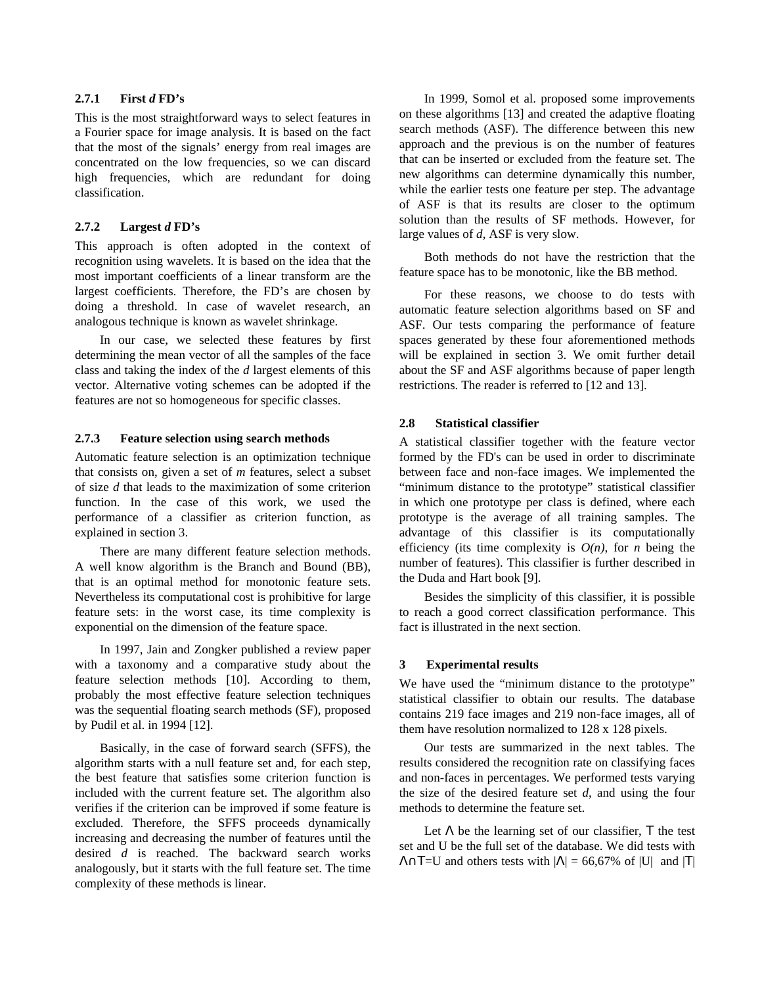### **2.7.1 First** *d* **FD's**

This is the most straightforward ways to select features in a Fourier space for image analysis. It is based on the fact that the most of the signals' energy from real images are concentrated on the low frequencies, so we can discard high frequencies, which are redundant for doing classification.

# **2.7.2 Largest** *d* **FD's**

This approach is often adopted in the context of recognition using wavelets. It is based on the idea that the most important coefficients of a linear transform are the largest coefficients. Therefore, the FD's are chosen by doing a threshold. In case of wavelet research, an analogous technique is known as wavelet shrinkage.

In our case, we selected these features by first determining the mean vector of all the samples of the face class and taking the index of the *d* largest elements of this vector. Alternative voting schemes can be adopted if the features are not so homogeneous for specific classes.

# **2.7.3 Feature selection using search methods**

Automatic feature selection is an optimization technique that consists on, given a set of *m* features, select a subset of size *d* that leads to the maximization of some criterion function. In the case of this work, we used the performance of a classifier as criterion function, as explained in section 3.

There are many different feature selection methods. A well know algorithm is the Branch and Bound (BB), that is an optimal method for monotonic feature sets. Nevertheless its computational cost is prohibitive for large feature sets: in the worst case, its time complexity is exponential on the dimension of the feature space.

In 1997, Jain and Zongker published a review paper with a taxonomy and a comparative study about the feature selection methods [10]. According to them, probably the most effective feature selection techniques was the sequential floating search methods (SF), proposed by Pudil et al. in 1994 [12].

Basically, in the case of forward search (SFFS), the algorithm starts with a null feature set and, for each step, the best feature that satisfies some criterion function is included with the current feature set. The algorithm also verifies if the criterion can be improved if some feature is excluded. Therefore, the SFFS proceeds dynamically increasing and decreasing the number of features until the desired *d* is reached. The backward search works analogously, but it starts with the full feature set. The time complexity of these methods is linear.

In 1999, Somol et al. proposed some improvements on these algorithms [13] and created the adaptive floating search methods (ASF). The difference between this new approach and the previous is on the number of features that can be inserted or excluded from the feature set. The new algorithms can determine dynamically this number, while the earlier tests one feature per step. The advantage of ASF is that its results are closer to the optimum solution than the results of SF methods. However, for large values of *d*, ASF is very slow.

Both methods do not have the restriction that the feature space has to be monotonic, like the BB method.

For these reasons, we choose to do tests with automatic feature selection algorithms based on SF and ASF. Our tests comparing the performance of feature spaces generated by these four aforementioned methods will be explained in section 3. We omit further detail about the SF and ASF algorithms because of paper length restrictions. The reader is referred to [12 and 13].

# **2.8 Statistical classifier**

A statistical classifier together with the feature vector formed by the FD's can be used in order to discriminate between face and non-face images. We implemented the "minimum distance to the prototype" statistical classifier in which one prototype per class is defined, where each prototype is the average of all training samples. The advantage of this classifier is its computationally efficiency (its time complexity is  $O(n)$ , for *n* being the number of features). This classifier is further described in the Duda and Hart book [9].

Besides the simplicity of this classifier, it is possible to reach a good correct classification performance. This fact is illustrated in the next section.

# **3 Experimental results**

We have used the "minimum distance to the prototype" statistical classifier to obtain our results. The database contains 219 face images and 219 non-face images, all of them have resolution normalized to 128 x 128 pixels.

Our tests are summarized in the next tables. The results considered the recognition rate on classifying faces and non-faces in percentages. We performed tests varying the size of the desired feature set *d*, and using the four methods to determine the feature set.

Let  $\Lambda$  be the learning set of our classifier. T the test set and U be the full set of the database. We did tests with  $\Lambda \cap T=U$  and others tests with  $|\Lambda| = 66,67\%$  of |U| and |T|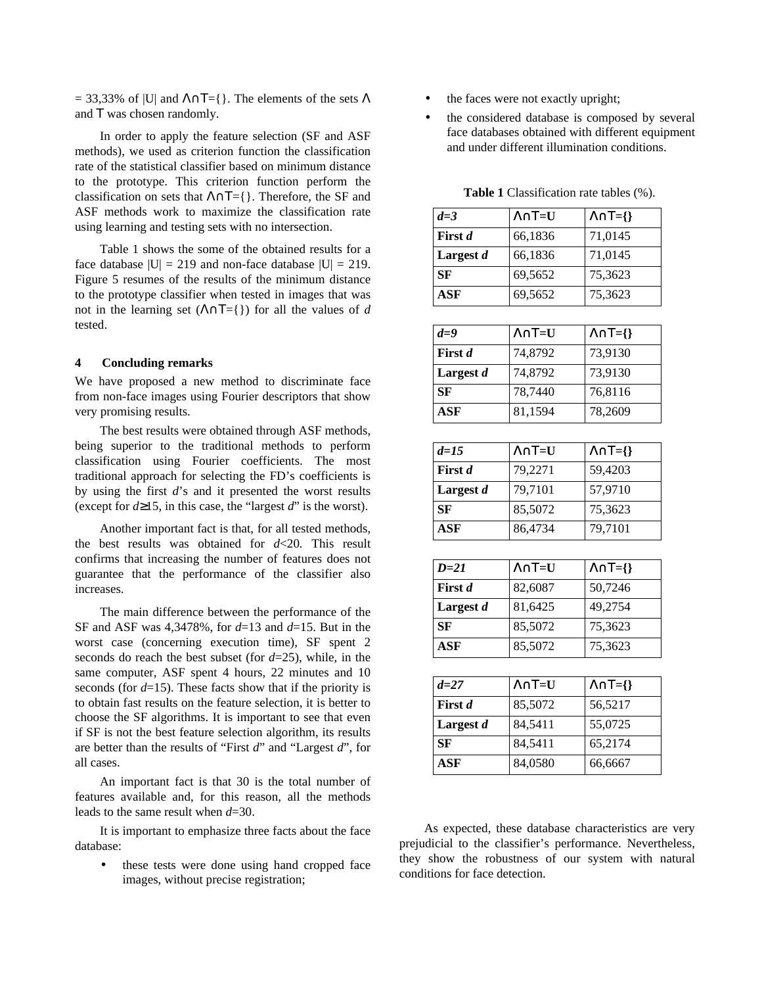= 33,33% of |U| and  $\Lambda \cap T = \{\}$ . The elements of the sets  $\Lambda$ and Τ was chosen randomly.

In order to apply the feature selection (SF and ASF methods), we used as criterion function the classification rate of the statistical classifier based on minimum distance to the prototype. This criterion function perform the classification on sets that  $\Lambda \cap T = \{\}$ . Therefore, the SF and ASF methods work to maximize the classification rate using learning and testing sets with no intersection.

Table 1 shows the some of the obtained results for a face database  $|U| = 219$  and non-face database  $|U| = 219$ . Figure 5 resumes of the results of the minimum distance to the prototype classifier when tested in images that was not in the learning set (Λ∩Τ={}) for all the values of *d* tested.

# **4 Concluding remarks**

We have proposed a new method to discriminate face from non-face images using Fourier descriptors that show very promising results.

The best results were obtained through ASF methods, being superior to the traditional methods to perform classification using Fourier coefficients. The most traditional approach for selecting the FD's coefficients is by using the first *d*'s and it presented the worst results (except for *d*≥15, in this case, the "largest *d*" is the worst).

Another important fact is that, for all tested methods, the best results was obtained for  $d < 20$ . This result confirms that increasing the number of features does not guarantee that the performance of the classifier also increases.

The main difference between the performance of the SF and ASF was 4,3478%, for *d*=13 and *d*=15. But in the worst case (concerning execution time), SF spent 2 seconds do reach the best subset (for *d*=25), while, in the same computer, ASF spent 4 hours, 22 minutes and 10 seconds (for *d*=15). These facts show that if the priority is to obtain fast results on the feature selection, it is better to choose the SF algorithms. It is important to see that even if SF is not the best feature selection algorithm, its results are better than the results of "First *d*" and "Largest *d*", for all cases.

An important fact is that 30 is the total number of features available and, for this reason, all the methods leads to the same result when *d*=30.

It is important to emphasize three facts about the face database:

• these tests were done using hand cropped face images, without precise registration;

- the faces were not exactly upright;
- the considered database is composed by several face databases obtained with different equipment and under different illumination conditions.

**Table 1** Classification rate tables (%).

*d=3* Λ∩Τ**=U** Λ∩Τ**={} First** *d*  $\begin{bmatrix} 66,1836 \end{bmatrix}$  71,0145 **Largest** *d*  $\left| \begin{array}{c} 66,1836 \end{array} \right| 71,0145$ **SF** 69,5652 75,3623 **ASF** 69,5652 75,3623

| $d=9$       | $\Lambda \cap T = U$ | $\Lambda \cap T = \{\}$ |
|-------------|----------------------|-------------------------|
| First $d$   | 74,8792              | 73,9130                 |
| Largest $d$ | 74,8792              | 73,9130                 |
| <b>SF</b>   | 78,7440              | 76,8116                 |
| ASF         | 81,1594              | 78,2609                 |

| $d=15$      | $\Lambda \cap T = U$ | $\Lambda \cap T = \{\}$ |
|-------------|----------------------|-------------------------|
| First d     | 79,2271              | 59,4203                 |
| Largest $d$ | 79,7101              | 57,9710                 |
| SF          | 85,5072              | 75,3623                 |
| ASF         | 86,4734              | 79,7101                 |

| $D=21$      | $\Lambda \cap T = U$ | $\Lambda \cap T = \{\}$ |
|-------------|----------------------|-------------------------|
| First $d$   | 82,6087              | 50,7246                 |
| Largest $d$ | 81,6425              | 49,2754                 |
| SF          | 85,5072              | 75,3623                 |
| ASF         | 85,5072              | 75,3623                 |

| $d = 27$    | $\Lambda \cap T = U$ | $\Lambda \cap T = \{\}$ |
|-------------|----------------------|-------------------------|
| First $d$   | 85,5072              | 56,5217                 |
| Largest $d$ | 84,5411              | 55,0725                 |
| SF          | 84,5411              | 65,2174                 |
| ASF         | 84,0580              | 66,6667                 |

As expected, these database characteristics are very prejudicial to the classifier's performance. Nevertheless, they show the robustness of our system with natural conditions for face detection.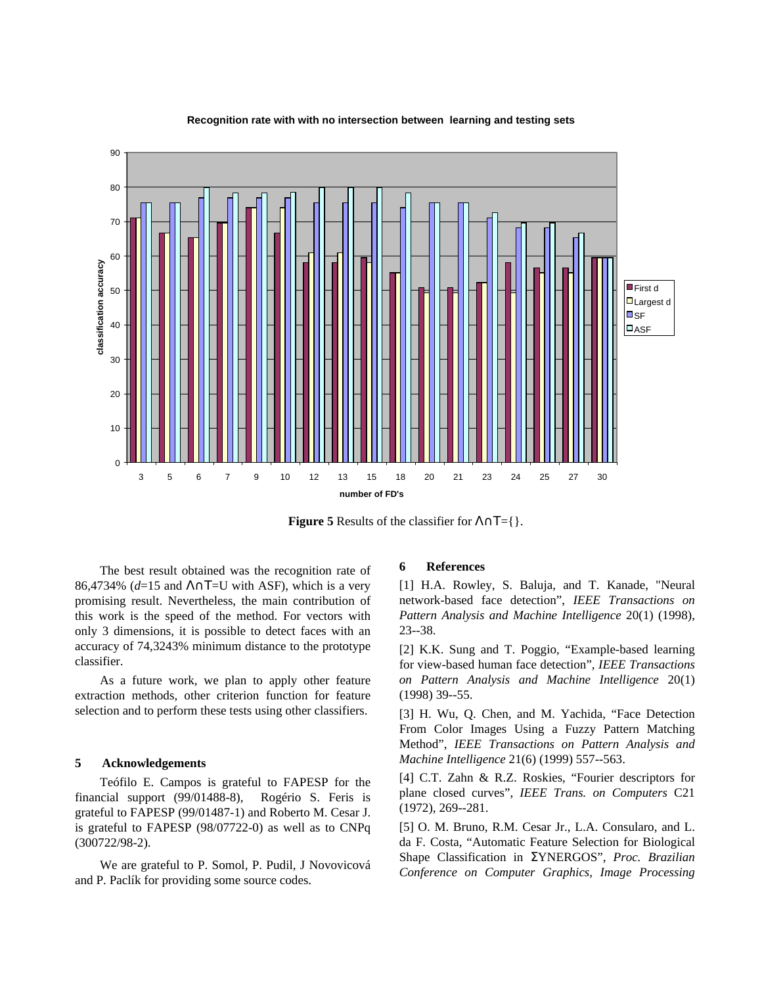

#### **Recognition rate with with no intersection between learning and testing sets**

**Figure 5** Results of the classifier for Λ∩Τ={}.

The best result obtained was the recognition rate of 86,4734% (*d*=15 and Λ∩Τ=U with ASF), which is a very promising result. Nevertheless, the main contribution of this work is the speed of the method. For vectors with only 3 dimensions, it is possible to detect faces with an accuracy of 74,3243% minimum distance to the prototype classifier.

As a future work, we plan to apply other feature extraction methods, other criterion function for feature selection and to perform these tests using other classifiers.

#### **5 Acknowledgements**

Teófilo E. Campos is grateful to FAPESP for the financial support (99/01488-8), Rogério S. Feris is grateful to FAPESP (99/01487-1) and Roberto M. Cesar J. is grateful to FAPESP (98/07722-0) as well as to CNPq (300722/98-2).

We are grateful to P. Somol, P. Pudil, J Novovicová and P. Paclík for providing some source codes.

### **6 References**

[1] H.A. Rowley, S. Baluja, and T. Kanade, "Neural network-based face detection", *IEEE Transactions on Pattern Analysis and Machine Intelligence* 20(1) (1998), 23--38.

[2] K.K. Sung and T. Poggio, "Example-based learning for view-based human face detection", *IEEE Transactions on Pattern Analysis and Machine Intelligence* 20(1) (1998) 39--55.

[3] H. Wu, Q. Chen, and M. Yachida, "Face Detection From Color Images Using a Fuzzy Pattern Matching Method", *IEEE Transactions on Pattern Analysis and Machine Intelligence* 21(6) (1999) 557--563.

[4] C.T. Zahn & R.Z. Roskies, "Fourier descriptors for plane closed curves", *IEEE Trans. on Computers* C21 (1972), 269--281.

[5] O. M. Bruno, R.M. Cesar Jr., L.A. Consularo, and L. da F. Costa, "Automatic Feature Selection for Biological Shape Classification in ΣYNERGOS", *Proc. Brazilian Conference on Computer Graphics, Image Processing*